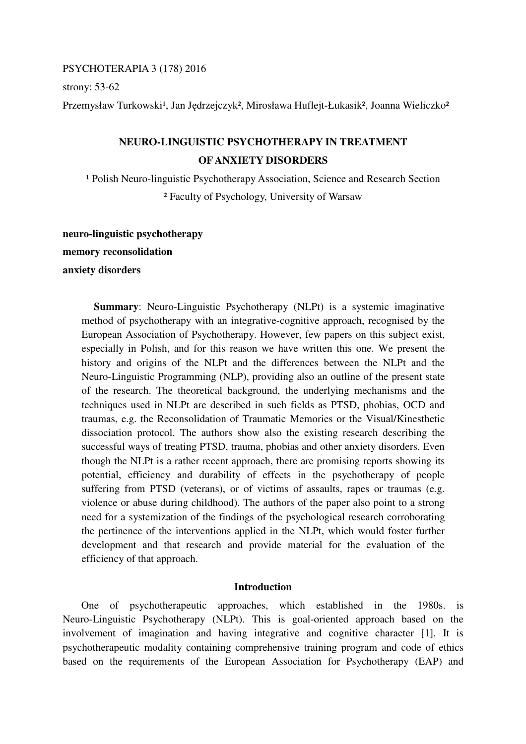### PSYCHOTERAPIA 3 (178) 2016

strony: 53-62

Przemysław Turkowski<sup>1</sup>, Jan Jędrzejczyk<sup>2</sup>, Mirosława Huflejt-Łukasik<sup>2</sup>, Joanna Wieliczko<sup>2</sup>

# **NEURO-LINGUISTIC PSYCHOTHERAPY IN TREATMENT OF ANXIETY DISORDERS**

<sup>1</sup> Polish Neuro-linguistic Psychotherapy Association, Science and Research Section ² Faculty of Psychology, University of Warsaw

## **neuro-linguistic psychotherapy**

**memory reconsolidation** 

## **anxiety disorders**

**Summary:** Neuro-Linguistic Psychotherapy (NLPt) is a systemic imaginative method of psychotherapy with an integrative-cognitive approach, recognised by the European Association of Psychotherapy. However, few papers on this subject exist, especially in Polish, and for this reason we have written this one. We present the history and origins of the NLPt and the differences between the NLPt and the Neuro-Linguistic Programming (NLP), providing also an outline of the present state of the research. The theoretical background, the underlying mechanisms and the techniques used in NLPt are described in such fields as PTSD, phobias, OCD and traumas, e.g. the Reconsolidation of Traumatic Memories or the Visual/Kinesthetic dissociation protocol. The authors show also the existing research describing the successful ways of treating PTSD, trauma, phobias and other anxiety disorders. Even though the NLPt is a rather recent approach, there are promising reports showing its potential, efficiency and durability of effects in the psychotherapy of people suffering from PTSD (veterans), or of victims of assaults, rapes or traumas (e.g. violence or abuse during childhood). The authors of the paper also point to a strong need for a systemization of the findings of the psychological research corroborating the pertinence of the interventions applied in the NLPt, which would foster further development and that research and provide material for the evaluation of the efficiency of that approach.

### **Introduction**

 One of psychotherapeutic approaches, which established in the 1980s. is Neuro-Linguistic Psychotherapy (NLPt). This is goal-oriented approach based on the involvement of imagination and having integrative and cognitive character [1]. It is psychotherapeutic modality containing comprehensive training program and code of ethics based on the requirements of the European Association for Psychotherapy (EAP) and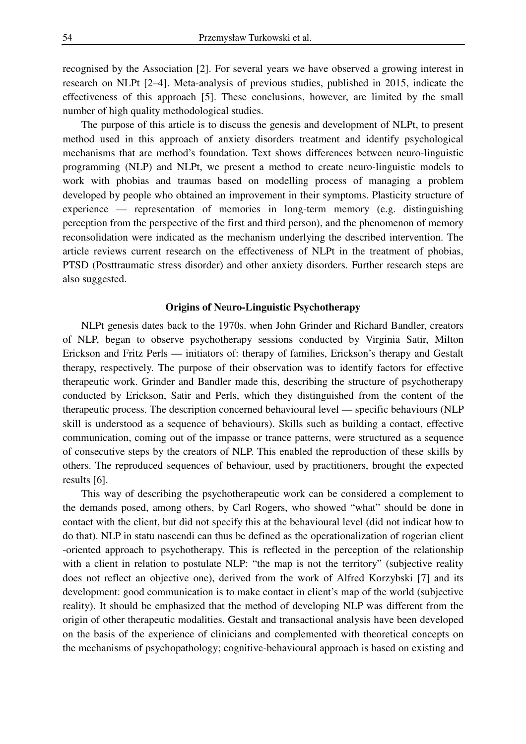recognised by the Association [2]. For several years we have observed a growing interest in research on NLPt [2–4]. Meta-analysis of previous studies, published in 2015, indicate the effectiveness of this approach [5]. These conclusions, however, are limited by the small number of high quality methodological studies.

 The purpose of this article is to discuss the genesis and development of NLPt, to present method used in this approach of anxiety disorders treatment and identify psychological mechanisms that are method's foundation. Text shows differences between neuro-linguistic programming (NLP) and NLPt, we present a method to create neuro-linguistic models to work with phobias and traumas based on modelling process of managing a problem developed by people who obtained an improvement in their symptoms. Plasticity structure of experience — representation of memories in long-term memory (e.g. distinguishing perception from the perspective of the first and third person), and the phenomenon of memory reconsolidation were indicated as the mechanism underlying the described intervention. The article reviews current research on the effectiveness of NLPt in the treatment of phobias, PTSD (Posttraumatic stress disorder) and other anxiety disorders. Further research steps are also suggested.

### **Origins of Neuro-Linguistic Psychotherapy**

 NLPt genesis dates back to the 1970s. when John Grinder and Richard Bandler, creators of NLP, began to observe psychotherapy sessions conducted by Virginia Satir, Milton Erickson and Fritz Perls — initiators of: therapy of families, Erickson's therapy and Gestalt therapy, respectively. The purpose of their observation was to identify factors for effective therapeutic work. Grinder and Bandler made this, describing the structure of psychotherapy conducted by Erickson, Satir and Perls, which they distinguished from the content of the therapeutic process. The description concerned behavioural level — specific behaviours (NLP skill is understood as a sequence of behaviours). Skills such as building a contact, effective communication, coming out of the impasse or trance patterns, were structured as a sequence of consecutive steps by the creators of NLP. This enabled the reproduction of these skills by others. The reproduced sequences of behaviour, used by practitioners, brought the expected results [6].

 This way of describing the psychotherapeutic work can be considered a complement to the demands posed, among others, by Carl Rogers, who showed "what" should be done in contact with the client, but did not specify this at the behavioural level (did not indicat how to do that). NLP in statu nascendi can thus be defined as the operationalization of rogerian client -oriented approach to psychotherapy. This is reflected in the perception of the relationship with a client in relation to postulate NLP: "the map is not the territory" (subjective reality does not reflect an objective one), derived from the work of Alfred Korzybski [7] and its development: good communication is to make contact in client's map of the world (subjective reality). It should be emphasized that the method of developing NLP was different from the origin of other therapeutic modalities. Gestalt and transactional analysis have been developed on the basis of the experience of clinicians and complemented with theoretical concepts on the mechanisms of psychopathology; cognitive-behavioural approach is based on existing and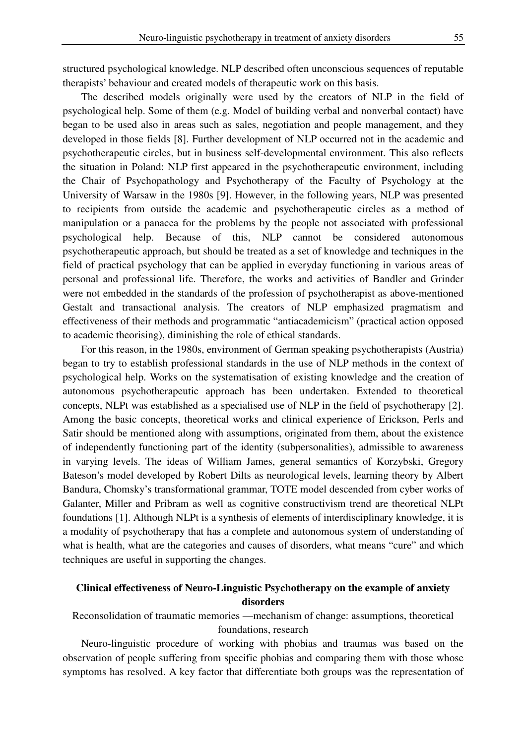structured psychological knowledge. NLP described often unconscious sequences of reputable therapists' behaviour and created models of therapeutic work on this basis.

 The described models originally were used by the creators of NLP in the field of psychological help. Some of them (e.g. Model of building verbal and nonverbal contact) have began to be used also in areas such as sales, negotiation and people management, and they developed in those fields [8]. Further development of NLP occurred not in the academic and psychotherapeutic circles, but in business self-developmental environment. This also reflects the situation in Poland: NLP first appeared in the psychotherapeutic environment, including the Chair of Psychopathology and Psychotherapy of the Faculty of Psychology at the University of Warsaw in the 1980s [9]. However, in the following years, NLP was presented to recipients from outside the academic and psychotherapeutic circles as a method of manipulation or a panacea for the problems by the people not associated with professional psychological help. Because of this, NLP cannot be considered autonomous psychotherapeutic approach, but should be treated as a set of knowledge and techniques in the field of practical psychology that can be applied in everyday functioning in various areas of personal and professional life. Therefore, the works and activities of Bandler and Grinder were not embedded in the standards of the profession of psychotherapist as above-mentioned Gestalt and transactional analysis. The creators of NLP emphasized pragmatism and effectiveness of their methods and programmatic "antiacademicism" (practical action opposed to academic theorising), diminishing the role of ethical standards.

 For this reason, in the 1980s, environment of German speaking psychotherapists (Austria) began to try to establish professional standards in the use of NLP methods in the context of psychological help. Works on the systematisation of existing knowledge and the creation of autonomous psychotherapeutic approach has been undertaken. Extended to theoretical concepts, NLPt was established as a specialised use of NLP in the field of psychotherapy [2]. Among the basic concepts, theoretical works and clinical experience of Erickson, Perls and Satir should be mentioned along with assumptions, originated from them, about the existence of independently functioning part of the identity (subpersonalities), admissible to awareness in varying levels. The ideas of William James, general semantics of Korzybski, Gregory Bateson's model developed by Robert Dilts as neurological levels, learning theory by Albert Bandura, Chomsky's transformational grammar, TOTE model descended from cyber works of Galanter, Miller and Pribram as well as cognitive constructivism trend are theoretical NLPt foundations [1]. Although NLPt is a synthesis of elements of interdisciplinary knowledge, it is a modality of psychotherapy that has a complete and autonomous system of understanding of what is health, what are the categories and causes of disorders, what means "cure" and which techniques are useful in supporting the changes.

## **Clinical effectiveness of Neuro-Linguistic Psychotherapy on the example of anxiety disorders**

Reconsolidation of traumatic memories —mechanism of change: assumptions, theoretical foundations, research

 Neuro-linguistic procedure of working with phobias and traumas was based on the observation of people suffering from specific phobias and comparing them with those whose symptoms has resolved. A key factor that differentiate both groups was the representation of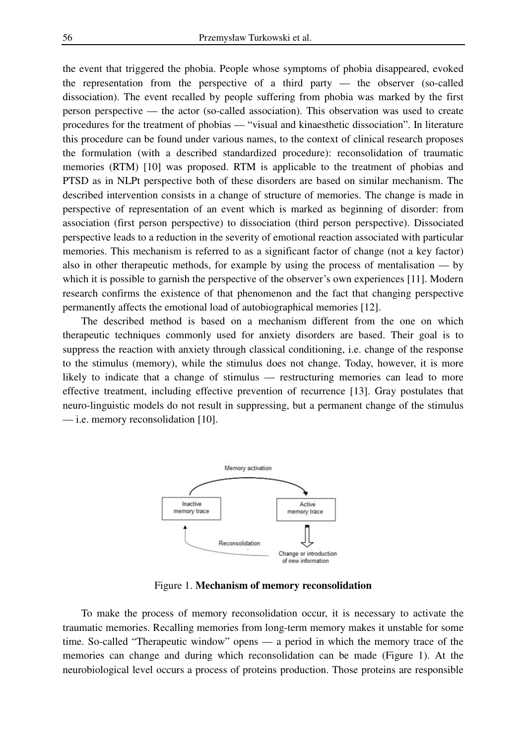the event that triggered the phobia. People whose symptoms of phobia disappeared, evoked the representation from the perspective of a third party — the observer (so-called dissociation). The event recalled by people suffering from phobia was marked by the first person perspective — the actor (so-called association). This observation was used to create procedures for the treatment of phobias — "visual and kinaesthetic dissociation". In literature this procedure can be found under various names, to the context of clinical research proposes the formulation (with a described standardized procedure): reconsolidation of traumatic memories (RTM) [10] was proposed. RTM is applicable to the treatment of phobias and PTSD as in NLPt perspective both of these disorders are based on similar mechanism. The described intervention consists in a change of structure of memories. The change is made in perspective of representation of an event which is marked as beginning of disorder: from association (first person perspective) to dissociation (third person perspective). Dissociated perspective leads to a reduction in the severity of emotional reaction associated with particular memories. This mechanism is referred to as a significant factor of change (not a key factor) also in other therapeutic methods, for example by using the process of mentalisation — by which it is possible to garnish the perspective of the observer's own experiences [11]. Modern research confirms the existence of that phenomenon and the fact that changing perspective permanently affects the emotional load of autobiographical memories [12].

 The described method is based on a mechanism different from the one on which therapeutic techniques commonly used for anxiety disorders are based. Their goal is to suppress the reaction with anxiety through classical conditioning, i.e. change of the response to the stimulus (memory), while the stimulus does not change. Today, however, it is more likely to indicate that a change of stimulus — restructuring memories can lead to more effective treatment, including effective prevention of recurrence [13]. Gray postulates that neuro-linguistic models do not result in suppressing, but a permanent change of the stimulus — i.e. memory reconsolidation [10].



Figure 1. **Mechanism of memory reconsolidation**

 To make the process of memory reconsolidation occur, it is necessary to activate the traumatic memories. Recalling memories from long-term memory makes it unstable for some time. So-called "Therapeutic window" opens — a period in which the memory trace of the memories can change and during which reconsolidation can be made (Figure 1). At the neurobiological level occurs a process of proteins production. Those proteins are responsible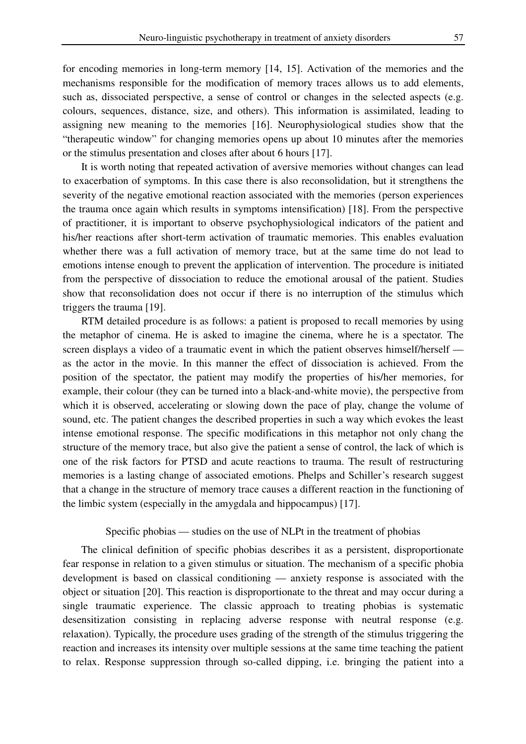for encoding memories in long-term memory [14, 15]. Activation of the memories and the mechanisms responsible for the modification of memory traces allows us to add elements, such as, dissociated perspective, a sense of control or changes in the selected aspects (e.g. colours, sequences, distance, size, and others). This information is assimilated, leading to assigning new meaning to the memories [16]. Neurophysiological studies show that the "therapeutic window" for changing memories opens up about 10 minutes after the memories or the stimulus presentation and closes after about 6 hours [17].

 It is worth noting that repeated activation of aversive memories without changes can lead to exacerbation of symptoms. In this case there is also reconsolidation, but it strengthens the severity of the negative emotional reaction associated with the memories (person experiences the trauma once again which results in symptoms intensification) [18]. From the perspective of practitioner, it is important to observe psychophysiological indicators of the patient and his/her reactions after short-term activation of traumatic memories. This enables evaluation whether there was a full activation of memory trace, but at the same time do not lead to emotions intense enough to prevent the application of intervention. The procedure is initiated from the perspective of dissociation to reduce the emotional arousal of the patient. Studies show that reconsolidation does not occur if there is no interruption of the stimulus which triggers the trauma [19].

 RTM detailed procedure is as follows: a patient is proposed to recall memories by using the metaphor of cinema. He is asked to imagine the cinema, where he is a spectator. The screen displays a video of a traumatic event in which the patient observes himself/herself as the actor in the movie. In this manner the effect of dissociation is achieved. From the position of the spectator, the patient may modify the properties of his/her memories, for example, their colour (they can be turned into a black-and-white movie), the perspective from which it is observed, accelerating or slowing down the pace of play, change the volume of sound, etc. The patient changes the described properties in such a way which evokes the least intense emotional response. The specific modifications in this metaphor not only chang the structure of the memory trace, but also give the patient a sense of control, the lack of which is one of the risk factors for PTSD and acute reactions to trauma. The result of restructuring memories is a lasting change of associated emotions. Phelps and Schiller's research suggest that a change in the structure of memory trace causes a different reaction in the functioning of the limbic system (especially in the amygdala and hippocampus) [17].

## Specific phobias — studies on the use of NLPt in the treatment of phobias

 The clinical definition of specific phobias describes it as a persistent, disproportionate fear response in relation to a given stimulus or situation. The mechanism of a specific phobia development is based on classical conditioning — anxiety response is associated with the object or situation [20]. This reaction is disproportionate to the threat and may occur during a single traumatic experience. The classic approach to treating phobias is systematic desensitization consisting in replacing adverse response with neutral response (e.g. relaxation). Typically, the procedure uses grading of the strength of the stimulus triggering the reaction and increases its intensity over multiple sessions at the same time teaching the patient to relax. Response suppression through so-called dipping, i.e. bringing the patient into a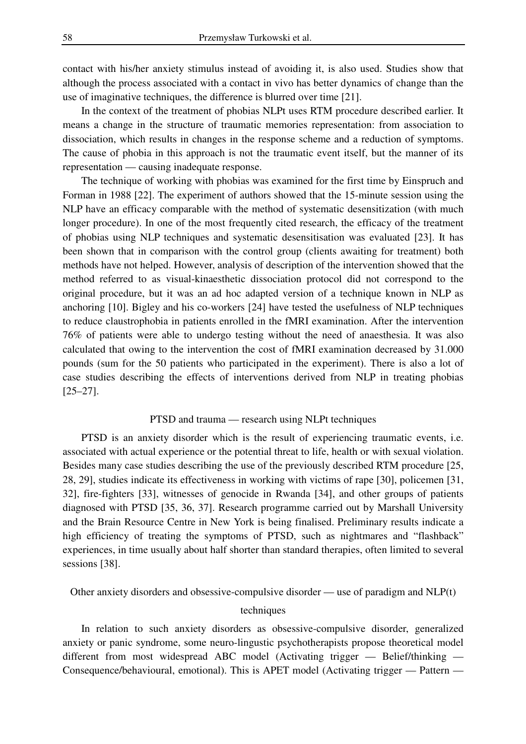contact with his/her anxiety stimulus instead of avoiding it, is also used. Studies show that although the process associated with a contact in vivo has better dynamics of change than the use of imaginative techniques, the difference is blurred over time [21].

 In the context of the treatment of phobias NLPt uses RTM procedure described earlier. It means a change in the structure of traumatic memories representation: from association to dissociation, which results in changes in the response scheme and a reduction of symptoms. The cause of phobia in this approach is not the traumatic event itself, but the manner of its representation — causing inadequate response.

 The technique of working with phobias was examined for the first time by Einspruch and Forman in 1988 [22]. The experiment of authors showed that the 15-minute session using the NLP have an efficacy comparable with the method of systematic desensitization (with much longer procedure). In one of the most frequently cited research, the efficacy of the treatment of phobias using NLP techniques and systematic desensitisation was evaluated [23]. It has been shown that in comparison with the control group (clients awaiting for treatment) both methods have not helped. However, analysis of description of the intervention showed that the method referred to as visual-kinaesthetic dissociation protocol did not correspond to the original procedure, but it was an ad hoc adapted version of a technique known in NLP as anchoring [10]. Bigley and his co-workers [24] have tested the usefulness of NLP techniques to reduce claustrophobia in patients enrolled in the fMRI examination. After the intervention 76% of patients were able to undergo testing without the need of anaesthesia. It was also calculated that owing to the intervention the cost of fMRI examination decreased by 31.000 pounds (sum for the 50 patients who participated in the experiment). There is also a lot of case studies describing the effects of interventions derived from NLP in treating phobias [25–27].

#### PTSD and trauma — research using NLPt techniques

 PTSD is an anxiety disorder which is the result of experiencing traumatic events, i.e. associated with actual experience or the potential threat to life, health or with sexual violation. Besides many case studies describing the use of the previously described RTM procedure [25, 28, 29], studies indicate its effectiveness in working with victims of rape [30], policemen [31, 32], fire-fighters [33], witnesses of genocide in Rwanda [34], and other groups of patients diagnosed with PTSD [35, 36, 37]. Research programme carried out by Marshall University and the Brain Resource Centre in New York is being finalised. Preliminary results indicate a high efficiency of treating the symptoms of PTSD, such as nightmares and "flashback" experiences, in time usually about half shorter than standard therapies, often limited to several sessions [38].

# Other anxiety disorders and obsessive-compulsive disorder — use of paradigm and NLP(t) techniques

 In relation to such anxiety disorders as obsessive-compulsive disorder, generalized anxiety or panic syndrome, some neuro-lingustic psychotherapists propose theoretical model different from most widespread ABC model (Activating trigger — Belief/thinking — Consequence/behavioural, emotional). This is APET model (Activating trigger — Pattern —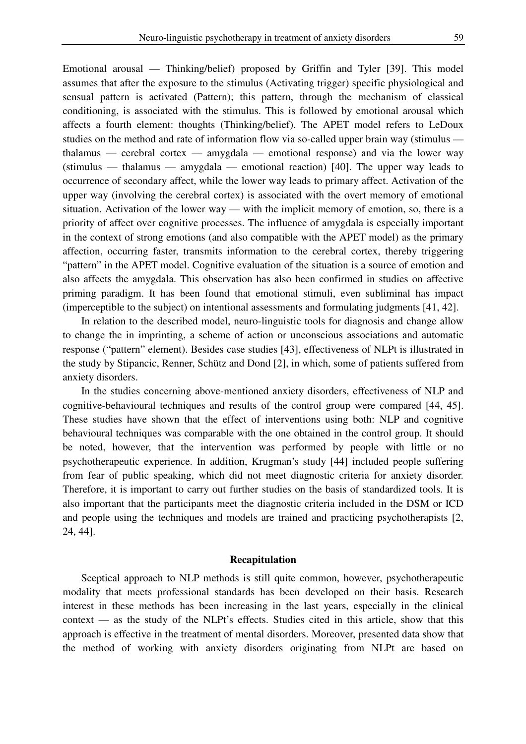Emotional arousal — Thinking/belief) proposed by Griffin and Tyler [39]. This model assumes that after the exposure to the stimulus (Activating trigger) specific physiological and sensual pattern is activated (Pattern); this pattern, through the mechanism of classical conditioning, is associated with the stimulus. This is followed by emotional arousal which affects a fourth element: thoughts (Thinking/belief). The APET model refers to LeDoux studies on the method and rate of information flow via so-called upper brain way (stimulus thalamus — cerebral cortex — amygdala — emotional response) and via the lower way (stimulus — thalamus — amygdala — emotional reaction) [40]. The upper way leads to occurrence of secondary affect, while the lower way leads to primary affect. Activation of the upper way (involving the cerebral cortex) is associated with the overt memory of emotional situation. Activation of the lower way — with the implicit memory of emotion, so, there is a priority of affect over cognitive processes. The influence of amygdala is especially important in the context of strong emotions (and also compatible with the APET model) as the primary affection, occurring faster, transmits information to the cerebral cortex, thereby triggering "pattern" in the APET model. Cognitive evaluation of the situation is a source of emotion and also affects the amygdala. This observation has also been confirmed in studies on affective priming paradigm. It has been found that emotional stimuli, even subliminal has impact (imperceptible to the subject) on intentional assessments and formulating judgments [41, 42].

 In relation to the described model, neuro-linguistic tools for diagnosis and change allow to change the in imprinting, a scheme of action or unconscious associations and automatic response ("pattern" element). Besides case studies [43], effectiveness of NLPt is illustrated in the study by Stipancic, Renner, Schütz and Dond [2], in which, some of patients suffered from anxiety disorders.

 In the studies concerning above-mentioned anxiety disorders, effectiveness of NLP and cognitive-behavioural techniques and results of the control group were compared [44, 45]. These studies have shown that the effect of interventions using both: NLP and cognitive behavioural techniques was comparable with the one obtained in the control group. It should be noted, however, that the intervention was performed by people with little or no psychotherapeutic experience. In addition, Krugman's study [44] included people suffering from fear of public speaking, which did not meet diagnostic criteria for anxiety disorder. Therefore, it is important to carry out further studies on the basis of standardized tools. It is also important that the participants meet the diagnostic criteria included in the DSM or ICD and people using the techniques and models are trained and practicing psychotherapists [2, 24, 44].

#### **Recapitulation**

 Sceptical approach to NLP methods is still quite common, however, psychotherapeutic modality that meets professional standards has been developed on their basis. Research interest in these methods has been increasing in the last years, especially in the clinical context — as the study of the NLPt's effects. Studies cited in this article, show that this approach is effective in the treatment of mental disorders. Moreover, presented data show that the method of working with anxiety disorders originating from NLPt are based on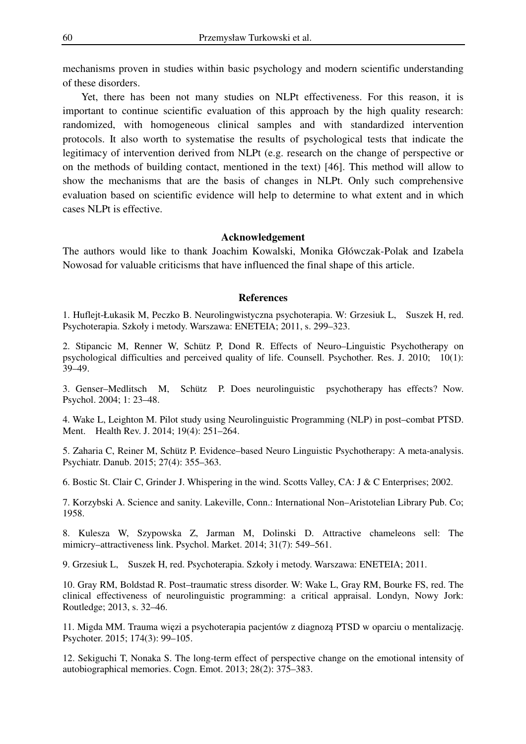mechanisms proven in studies within basic psychology and modern scientific understanding of these disorders.

 Yet, there has been not many studies on NLPt effectiveness. For this reason, it is important to continue scientific evaluation of this approach by the high quality research: randomized, with homogeneous clinical samples and with standardized intervention protocols. It also worth to systematise the results of psychological tests that indicate the legitimacy of intervention derived from NLPt (e.g. research on the change of perspective or on the methods of building contact, mentioned in the text) [46]. This method will allow to show the mechanisms that are the basis of changes in NLPt. Only such comprehensive evaluation based on scientific evidence will help to determine to what extent and in which cases NLPt is effective.

#### **Acknowledgement**

The authors would like to thank Joachim Kowalski, Monika Główczak-Polak and Izabela Nowosad for valuable criticisms that have influenced the final shape of this article.

#### **References**

1. Huflejt-Łukasik M, Peczko B. Neurolingwistyczna psychoterapia. W: Grzesiuk L, Suszek H, red. Psychoterapia. Szkoły i metody. Warszawa: ENETEIA; 2011, s. 299–323.

2. Stipancic M, Renner W, Schütz P, Dond R. Effects of Neuro–Linguistic Psychotherapy on psychological difficulties and perceived quality of life. Counsell. Psychother. Res. J. 2010; 10(1): 39–49.

3. Genser–Medlitsch M, Schütz P. Does neurolinguistic psychotherapy has effects? Now. Psychol. 2004; 1: 23–48.

4. Wake L, Leighton M. Pilot study using Neurolinguistic Programming (NLP) in post–combat PTSD. Ment. Health Rev. J. 2014; 19(4): 251–264.

5. Zaharia C, Reiner M, Schütz P. Evidence–based Neuro Linguistic Psychotherapy: A meta-analysis. Psychiatr. Danub. 2015; 27(4): 355–363.

6. Bostic St. Clair C, Grinder J. Whispering in the wind. Scotts Valley, CA: J & C Enterprises; 2002.

7. Korzybski A. Science and sanity. Lakeville, Conn.: International Non–Aristotelian Library Pub. Co; 1958.

8. Kulesza W, Szypowska Z, Jarman M, Dolinski D. Attractive chameleons sell: The mimicry–attractiveness link. Psychol. Market. 2014; 31(7): 549–561.

9. Grzesiuk L, Suszek H, red. Psychoterapia. Szkoły i metody. Warszawa: ENETEIA; 2011.

10. Gray RM, Boldstad R. Post–traumatic stress disorder. W: Wake L, Gray RM, Bourke FS, red. The clinical effectiveness of neurolinguistic programming: a critical appraisal. Londyn, Nowy Jork: Routledge; 2013, s. 32–46.

11. Migda MM. Trauma więzi a psychoterapia pacjentów z diagnozą PTSD w oparciu o mentalizację. Psychoter. 2015; 174(3): 99–105.

12. Sekiguchi T, Nonaka S. The long-term effect of perspective change on the emotional intensity of autobiographical memories. Cogn. Emot. 2013; 28(2): 375–383.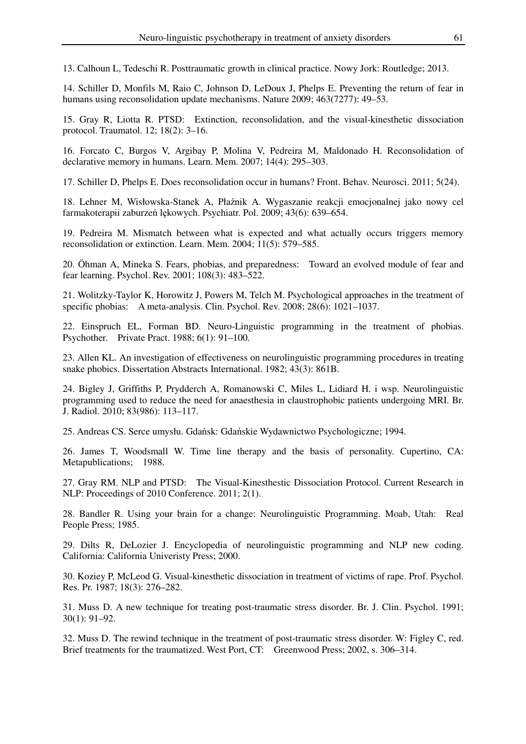13. Calhoun L, Tedeschi R. Posttraumatic growth in clinical practice. Nowy Jork: Routledge; 2013.

14. Schiller D, Monfils M, Raio C, Johnson D, LeDoux J, Phelps E. Preventing the return of fear in humans using reconsolidation update mechanisms. Nature 2009; 463(7277): 49–53.

15. Gray R, Liotta R. PTSD: Extinction, reconsolidation, and the visual-kinesthetic dissociation protocol. Traumatol. 12; 18(2): 3–16.

16. Forcato C, Burgos V, Argibay P, Molina V, Pedreira M, Maldonado H. Reconsolidation of declarative memory in humans. Learn. Mem. 2007; 14(4): 295–303.

17. Schiller D, Phelps E. Does reconsolidation occur in humans? Front. Behav. Neurosci. 2011; 5(24).

18. Lehner M, Wisłowska-Stanek A, Płaźnik A. Wygaszanie reakcji emocjonalnej jako nowy cel farmakoterapii zaburzeń lękowych. Psychiatr. Pol. 2009; 43(6): 639–654.

19. Pedreira M. Mismatch between what is expected and what actually occurs triggers memory reconsolidation or extinction. Learn. Mem. 2004; 11(5): 579–585.

20. Öhman A, Mineka S. Fears, phobias, and preparedness: Toward an evolved module of fear and fear learning. Psychol. Rev. 2001; 108(3): 483–522.

21. Wolitzky-Taylor K, Horowitz J, Powers M, Telch M. Psychological approaches in the treatment of specific phobias: A meta-analysis. Clin. Psychol. Rev. 2008; 28(6): 1021–1037.

22. Einspruch EL, Forman BD. Neuro-Linguistic programming in the treatment of phobias. Psychother. Private Pract. 1988; 6(1): 91–100.

23. Allen KL. An investigation of effectiveness on neurolinguistic programming procedures in treating snake phobics. Dissertation Abstracts International. 1982; 43(3): 861B.

24. Bigley J, Griffiths P, Prydderch A, Romanowski C, Miles L, Lidiard H. i wsp. Neurolinguistic programming used to reduce the need for anaesthesia in claustrophobic patients undergoing MRI. Br. J. Radiol. 2010; 83(986): 113–117.

25. Andreas CS. Serce umysłu. Gdańsk: Gdańskie Wydawnictwo Psychologiczne; 1994.

26. James T, Woodsmall W. Time line therapy and the basis of personality. Cupertino, CA: Metapublications; 1988.

27. Gray RM. NLP and PTSD: The Visual-Kinesthestic Dissociation Protocol. Current Research in NLP: Proceedings of 2010 Conference. 2011; 2(1).

28. Bandler R. Using your brain for a change: Neurolinguistic Programming. Moab, Utah: Real People Press; 1985.

29. Dilts R, DeLozier J. Encyclopedia of neurolinguistic programming and NLP new coding. California: California Univeristy Press; 2000.

30. Koziey P, McLeod G. Visual-kinesthetic dissociation in treatment of victims of rape. Prof. Psychol. Res. Pr. 1987; 18(3): 276–282.

31. Muss D. A new technique for treating post-traumatic stress disorder. Br. J. Clin. Psychol. 1991; 30(1): 91–92.

32. Muss D. The rewind technique in the treatment of post-traumatic stress disorder. W: Figley C, red. Brief treatments for the traumatized. West Port, CT: Greenwood Press; 2002, s. 306–314.